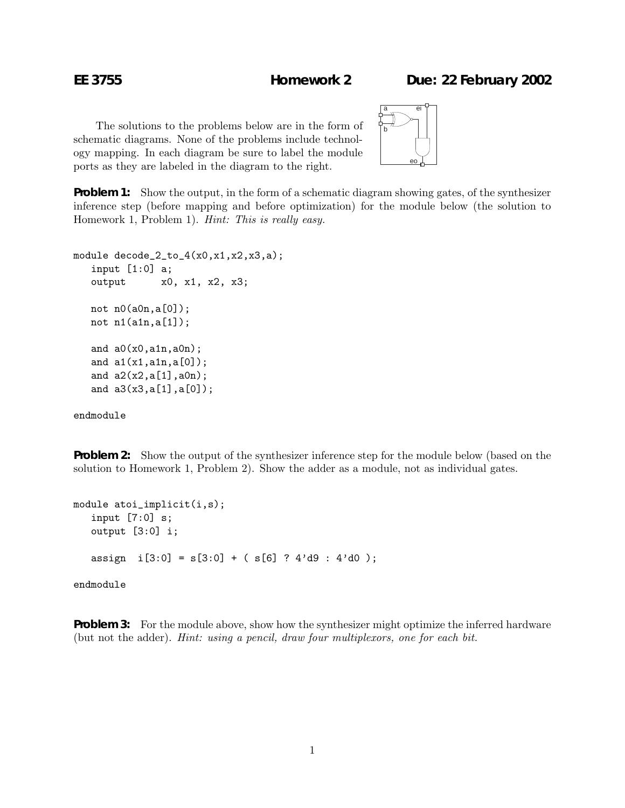## **EE 3755 Homework 2 Due: 22 February 2002**

The solutions to the problems below are in the form of schematic diagrams. None of the problems include technology mapping. In each diagram be sure to label the module ports as they are labeled in the diagram to the right.



**Problem 1:** Show the output, in the form of a schematic diagram showing gates, of the synthesizer inference step (before mapping and before optimization) for the module below (the solution to Homework 1, Problem 1). *Hint: This is really easy.*

```
module decode_2_to_4(x0, x1, x2, x3, a);
 input [1:0] a;
 output x0, x1, x2, x3;
not n0(a0n,a[0]);
not n1(a1n,a[1]);
and a0(x0,a1n,a0n);
 and a1(x1,a1n,a[0]);
 and a2(x2,a[1],a0n);
 and a3(x3,a[1],a[0]);
```
endmodule

**Problem 2:** Show the output of the synthesizer inference step for the module below (based on the solution to Homework 1, Problem 2). Show the adder as a module, not as individual gates.

```
module atoi_implicit(i,s);
input [7:0] s;
output [3:0] i;
assign i[3:0] = s[3:0] + (s[6] ? 4'd9 : 4'd0);endmodule
```
**Problem 3:** For the module above, show how the synthesizer might optimize the inferred hardware (but not the adder). *Hint: using a pencil, draw four multiplexors, one for each bit.*